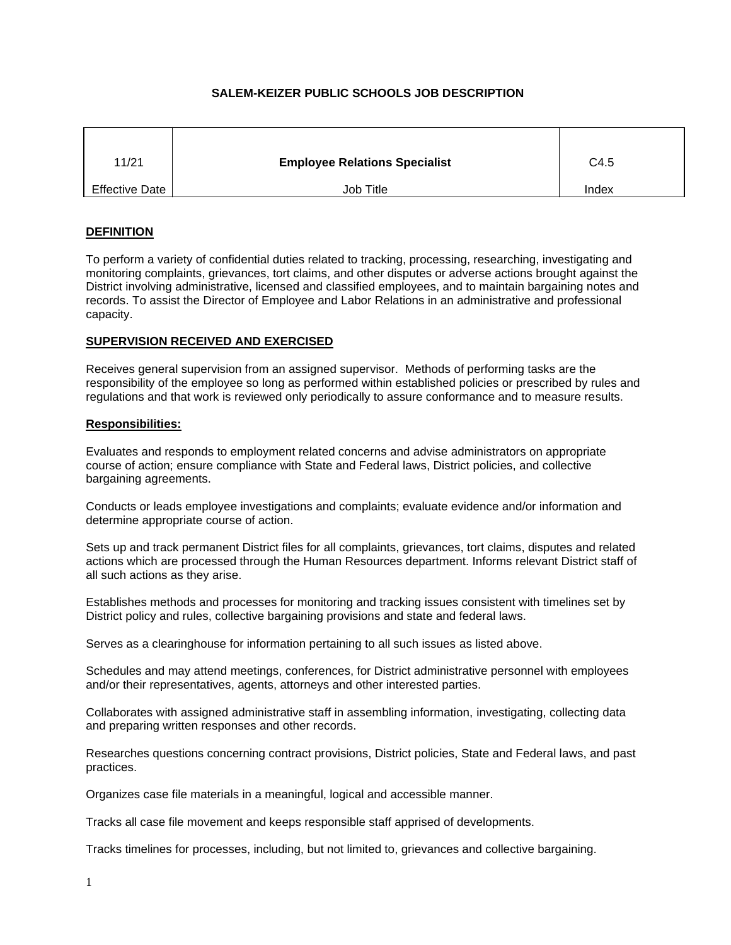# **SALEM-KEIZER PUBLIC SCHOOLS JOB DESCRIPTION**

| 11/21                 | <b>Employee Relations Specialist</b> | C4.5  |
|-----------------------|--------------------------------------|-------|
| <b>Effective Date</b> | Job Title                            | Index |

## **DEFINITION**

To perform a variety of confidential duties related to tracking, processing, researching, investigating and monitoring complaints, grievances, tort claims, and other disputes or adverse actions brought against the District involving administrative, licensed and classified employees, and to maintain bargaining notes and records. To assist the Director of Employee and Labor Relations in an administrative and professional capacity.

## **SUPERVISION RECEIVED AND EXERCISED**

Receives general supervision from an assigned supervisor. Methods of performing tasks are the responsibility of the employee so long as performed within established policies or prescribed by rules and regulations and that work is reviewed only periodically to assure conformance and to measure results.

## **Responsibilities:**

Evaluates and responds to employment related concerns and advise administrators on appropriate course of action; ensure compliance with State and Federal laws, District policies, and collective bargaining agreements.

Conducts or leads employee investigations and complaints; evaluate evidence and/or information and determine appropriate course of action.

Sets up and track permanent District files for all complaints, grievances, tort claims, disputes and related actions which are processed through the Human Resources department. Informs relevant District staff of all such actions as they arise.

Establishes methods and processes for monitoring and tracking issues consistent with timelines set by District policy and rules, collective bargaining provisions and state and federal laws.

Serves as a clearinghouse for information pertaining to all such issues as listed above.

Schedules and may attend meetings, conferences, for District administrative personnel with employees and/or their representatives, agents, attorneys and other interested parties.

Collaborates with assigned administrative staff in assembling information, investigating, collecting data and preparing written responses and other records.

Researches questions concerning contract provisions, District policies, State and Federal laws, and past practices.

Organizes case file materials in a meaningful, logical and accessible manner.

Tracks all case file movement and keeps responsible staff apprised of developments.

Tracks timelines for processes, including, but not limited to, grievances and collective bargaining.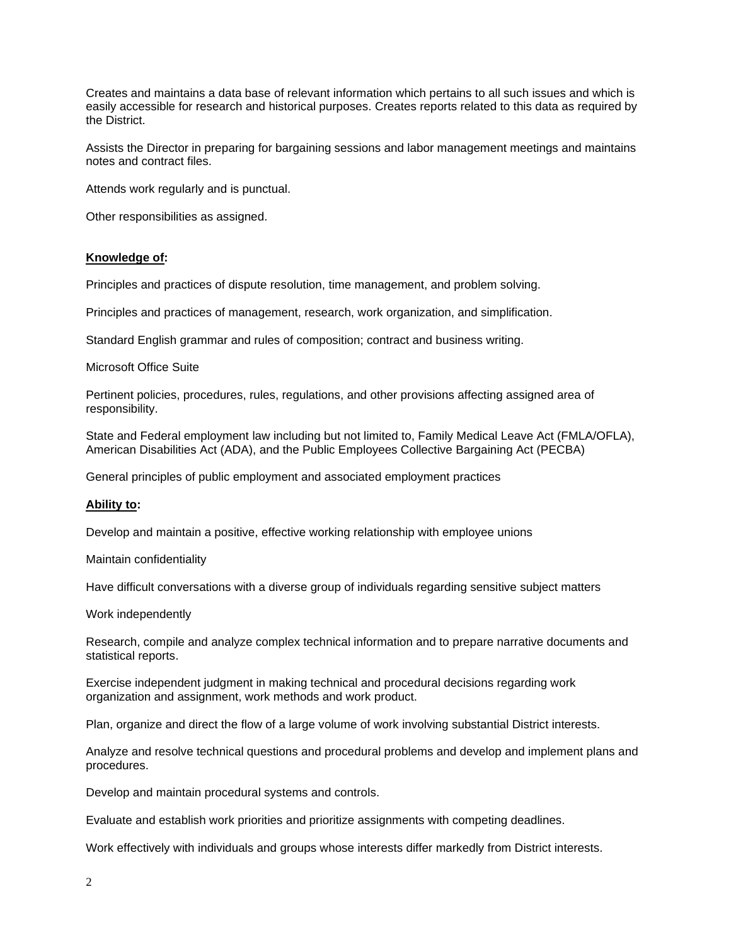Creates and maintains a data base of relevant information which pertains to all such issues and which is easily accessible for research and historical purposes. Creates reports related to this data as required by the District.

Assists the Director in preparing for bargaining sessions and labor management meetings and maintains notes and contract files.

Attends work regularly and is punctual.

Other responsibilities as assigned.

#### **Knowledge of:**

Principles and practices of dispute resolution, time management, and problem solving.

Principles and practices of management, research, work organization, and simplification.

Standard English grammar and rules of composition; contract and business writing.

Microsoft Office Suite

Pertinent policies, procedures, rules, regulations, and other provisions affecting assigned area of responsibility.

State and Federal employment law including but not limited to, Family Medical Leave Act (FMLA/OFLA), American Disabilities Act (ADA), and the Public Employees Collective Bargaining Act (PECBA)

General principles of public employment and associated employment practices

## **Ability to:**

Develop and maintain a positive, effective working relationship with employee unions

Maintain confidentiality

Have difficult conversations with a diverse group of individuals regarding sensitive subject matters

Work independently

Research, compile and analyze complex technical information and to prepare narrative documents and statistical reports.

Exercise independent judgment in making technical and procedural decisions regarding work organization and assignment, work methods and work product.

Plan, organize and direct the flow of a large volume of work involving substantial District interests.

Analyze and resolve technical questions and procedural problems and develop and implement plans and procedures.

Develop and maintain procedural systems and controls.

Evaluate and establish work priorities and prioritize assignments with competing deadlines.

Work effectively with individuals and groups whose interests differ markedly from District interests.